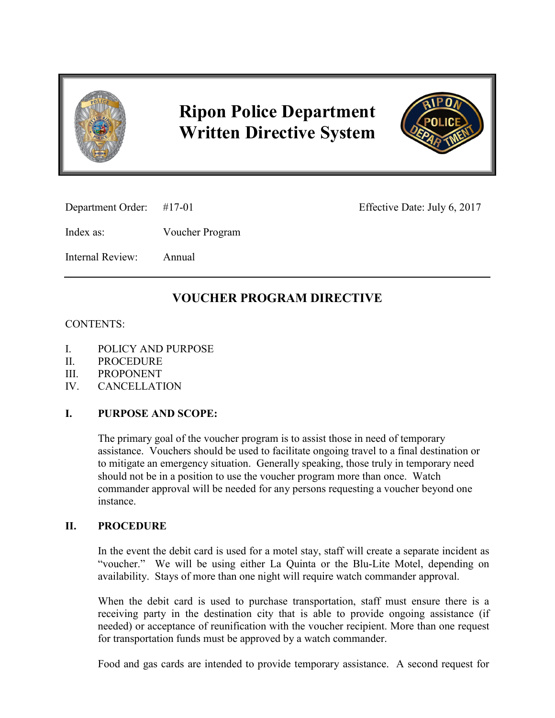

# **Ripon Police Department Written Directive System**



Department Order: #17-01 Effective Date: July 6, 2017

Index as: Voucher Program

Internal Review: Annual

# **VOUCHER PROGRAM DIRECTIVE**

## CONTENTS:

- I. POLICY AND PURPOSE
- II. PROCEDURE
- III. PROPONENT
- IV. CANCELLATION

# **I. PURPOSE AND SCOPE:**

The primary goal of the voucher program is to assist those in need of temporary assistance. Vouchers should be used to facilitate ongoing travel to a final destination or to mitigate an emergency situation. Generally speaking, those truly in temporary need should not be in a position to use the voucher program more than once. Watch commander approval will be needed for any persons requesting a voucher beyond one instance.

### **II. PROCEDURE**

In the event the debit card is used for a motel stay, staff will create a separate incident as "voucher." We will be using either La Quinta or the Blu-Lite Motel, depending on availability. Stays of more than one night will require watch commander approval.

When the debit card is used to purchase transportation, staff must ensure there is a receiving party in the destination city that is able to provide ongoing assistance (if needed) or acceptance of reunification with the voucher recipient. More than one request for transportation funds must be approved by a watch commander.

Food and gas cards are intended to provide temporary assistance. A second request for